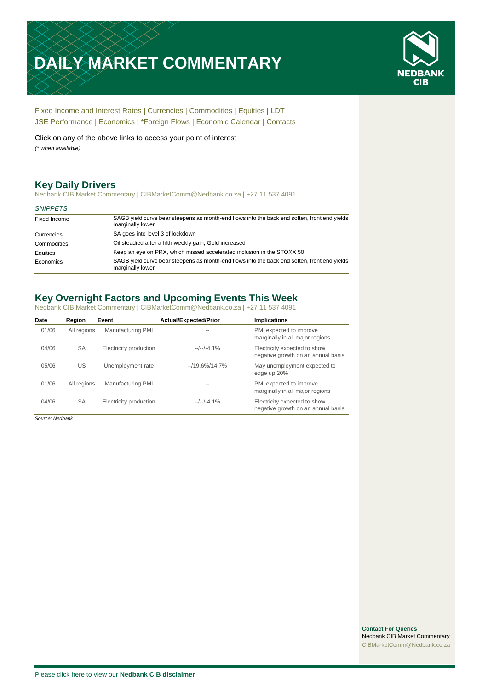# **DAILY MARKET COMMENTARY**



[Fixed Income and Interest Rates](#page-1-0) | [Currencies](#page-2-0) | [Commodities](#page-3-0) [| Equities](#page-4-0) | [LDT](#page-5-0) [JSE Performance](#page-6-0) [| Economics](#page-7-0) | \*Foreign Flows | [Economic Calendar](#page-7-0) | [Contacts](#page-8-0)

Click on any of the above links to access your point of interest *(\* when available)*

# **Key Daily Drivers**

Nedbank CIB Market Commentary | CIBMarketComm@Nedbank.co.za | +27 11 537 4091

#### *SNIPPETS*

| Fixed Income | SAGB yield curve bear steepens as month-end flows into the back end soften, front end yields<br>marginally lower |
|--------------|------------------------------------------------------------------------------------------------------------------|
| Currencies   | SA goes into level 3 of lockdown                                                                                 |
| Commodities  | Oil steadied after a fifth weekly gain; Gold increased                                                           |
| Equities     | Keep an eye on PRX, which missed accelerated inclusion in the STOXX 50                                           |
| Economics    | SAGB yield curve bear steepens as month-end flows into the back end soften, front end yields<br>marginally lower |

# **Key Overnight Factors and Upcoming Events This Week**

Nedbank CIB Market Commentary | CIBMarketComm@Nedbank.co.za | +27 11 537 4091

| Date  | Region      | Event                  | <b>Actual/Expected/Prior</b> | <b>Implications</b>                                                |
|-------|-------------|------------------------|------------------------------|--------------------------------------------------------------------|
| 01/06 | All regions | Manufacturing PMI      |                              | PMI expected to improve<br>marginally in all major regions         |
| 04/06 | <b>SA</b>   | Electricity production | $-/-/-4.1%$                  | Electricity expected to show<br>negative growth on an annual basis |
| 05/06 | US          | Unemployment rate      | $-19.6\%/14.7\%$             | May unemployment expected to<br>edge up 20%                        |
| 01/06 | All regions | Manufacturing PMI      |                              | PMI expected to improve<br>marginally in all major regions         |
| 04/06 | <b>SA</b>   | Electricity production | $-/-/-4.1%$                  | Electricity expected to show<br>negative growth on an annual basis |

*Source: Nedbank*

**Contact For Queries** Nedbank CIB Market Commentary [CIBMarketComm@Nedbank.co.za](file:///C:/Users/Paul-Rose/AppData/Roaming/Bluecurve/templates/CIBMarketComm@Nedbank.co.za)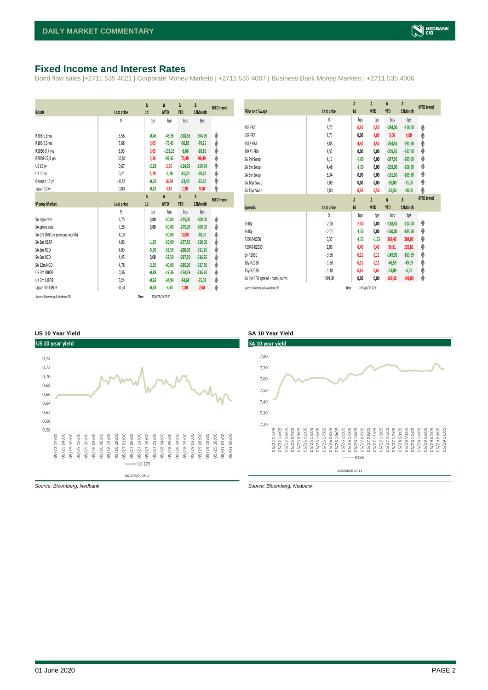# <span id="page-1-0"></span>**Fixed Income and Interest Rates**

Bond flow sales |+2711 535 4021 | Corporate Money Markets | +2711 535 4007 | Business Bank Money Markets | +2711 535 4006

|                               |                | Δ       | Δ          | Δ          | Δ         | <b>MTD</b> trend |
|-------------------------------|----------------|---------|------------|------------|-----------|------------------|
| <b>Bonds</b>                  | Last price     | 1d      | <b>MTD</b> | <b>YTD</b> | 12Month   |                  |
|                               | $\frac{9}{20}$ | bps     | bps        | bps        | bps       |                  |
| R208-0,8 yrs                  | 3,56           | $-0,46$ | $-46,36$   | $-318,36$  | $-304,96$ | J                |
| R186-6,6 yrs                  | 7,68           | 0,05    | $-75,45$   | $-56,85$   | $-79,25$  | ⊎                |
| R2030-9,7 yrs                 | 8,93           | 0,05    | $-133,26$  | $-8,66$    | $-18,16$  | ⊎                |
| R2048-27,8 yrs                | 10,81          | 0,39    | $-97,41$   | 73,49      | 98,49     | V                |
| US 10 yr                      | 0,67           | $-2,28$ | 2,96       | $-124,95$  | $-159,34$ | φ                |
| <b>UK 10 yr</b>               | 0,21           | 1,70    | $-2,10$    | $-61,20$   | $-70,70$  | ψ                |
| German 10 yr                  | $-0,42$        | $-0,50$ | 16,70      | $-23,40$   | $-25,80$  | ♠                |
| Japan 10 yr                   | 0,00           | $-0,10$ | 3,10       | 1,20       | 9,10      | φ                |
|                               |                | Δ       | Δ          | Δ          | Δ         | <b>MTD</b> trend |
| <b>Money Market</b>           | Last price     | 1d      | <b>MTD</b> | <b>YTD</b> | 12Month   |                  |
|                               | $\frac{9}{20}$ | bps     | bps        | bps        | bps       |                  |
| SA repo rate                  | 3,75           | 0,00    | $-50,00$   | $-275,00$  | $-300,00$ | J                |
|                               |                |         |            |            |           |                  |
| SA prime rate                 | 7,25           | 0,00    | $-50,00$   | $-275,00$  | $-300,00$ | ⊎                |
| SA CPI (MTD = previous month) | 4,10           |         | $-50,00$   | 10,00      | $-40,00$  | ⊎                |
| SA 3m JIBAR                   | 4,03           | $-1,70$ | $-55,00$   | $-277,50$  | $-310,00$ | V                |
| SA 3m NCD                     | 4,03           | $-5,00$ | $-52,50$   | $-280,00$  | $-311,25$ | ψ                |
| SA 6m NCD                     | 4,45           | 0,00    | $-52,50$   | $-287,50$  | $-316,25$ | V                |
| SA 12m NCD                    | 4,78           | $-2,50$ | $-40,00$   | $-285.00$  | $-317,50$ | V                |
| US 3m LIBOR                   | 0,36           | $-0,88$ | $-19,36$   | $-154,59$  | $-216,24$ | ψ                |
| UK 3m LIBOR                   | 0,24           | $-0,66$ | $-34,94$   | $-54,68$   | $-55,08$  | ⊎                |
| Japan 3m LIBOR                | $-0,04$        | $-0,58$ | $-3,43$    | 1,00       | 2,68      | J                |

| <b>FRAs and Swaps</b>            | Last price     | Δ<br>1d | Δ<br><b>MTD</b> | Δ<br><b>YTD</b> | Δ<br>12Month | <b>MTD</b> trend |
|----------------------------------|----------------|---------|-----------------|-----------------|--------------|------------------|
|                                  | $\frac{9}{20}$ | bps     | bps             | bps             | bps          |                  |
| 3X6 FRA                          | 3,77           | 0,50    | 0,50            | $-284,00$       | $-318,00$    | ۸                |
| 6X9 FRA                          | 3,71           | 0,00    | 4,00            | 3,00            | 4,00         | ۸                |
| 9X12 FRA                         | 3,85           | 4,50    | 4,50            | $-264,50$       | $-291,50$    | φ                |
| 18X21 FRA                        | 4,52           | 0,00    | 0,00            | $-205,50$       | $-237,00$    | ٠                |
| SA 2yr Swap                      | 4,11           | $-3,00$ | 0,00            | $-247,50$       | $-285,00$    | ۰                |
| SA 3yr Swap                      | 4,48           | $-1,50$ | 0,00            | $-219,00$       | $-256,50$    | ۰                |
| SA 5yr Swap                      | 5,34           | 0,00    | 0,00            | $-161,50$       | $-185,50$    | ♦                |
| SA 10yr Swap                     | 7,09           | 0,00    | 0,00            | $-59,00$        | $-71,00$     | ۰                |
| SA 15yr Swap                     | 7,80           | 0,50    | 0,50            | $-26,50$        | $-28,00$     | ۸                |
|                                  |                | Δ       | Δ               | Δ               | Δ            | <b>MTD</b> trend |
| <b>Spreads</b>                   | Last price     | 1d      | <b>MTD</b>      | <b>YTD</b>      | 12Month      |                  |
|                                  | $\frac{9}{20}$ | bps     | bps             | bps             | bps          |                  |
| 2v10v                            | $-2,98$        | $-3,00$ | 0,00            | $-188,50$       | $-214,00$    | ♦                |
| 3v10y                            | $-2,61$        | $-1,50$ | 0,00            | $-160,00$       | $-185,50$    | ۰                |
| R2030-R208                       | 5,37           | $-1,55$ | $-1,55$         | 309,45          | 284,05       | ψ                |
| R2048-R2030                      | 2,03           | 0,40    | 0,40            | 96,81           | 135,81       | ♠                |
| 5y-R2030                         | $-3,56$        | 0,11    | 0,11            | $-149,09$       | $-163,59$    | φ                |
| 10y-R2030                        | $-1,80$        | 0,11    | 0,11            | $-46,59$        | $-49,09$     | ♠                |
| 15y-R2030                        | $-1,10$        | 0,61    | 0,61            | $-14,09$        | $-6,09$      | φ                |
|                                  |                |         |                 |                 |              |                  |
| SA 5yr CDS spread - basis points | 349,00         | 0,00    | 0,00            | 182,50          | 149,00       | ♦                |

#### **US 10 Year Yield SA 10 Year Yield**





*Source: Bloomberg, Nedbank Source: Bloomberg, Nedbank*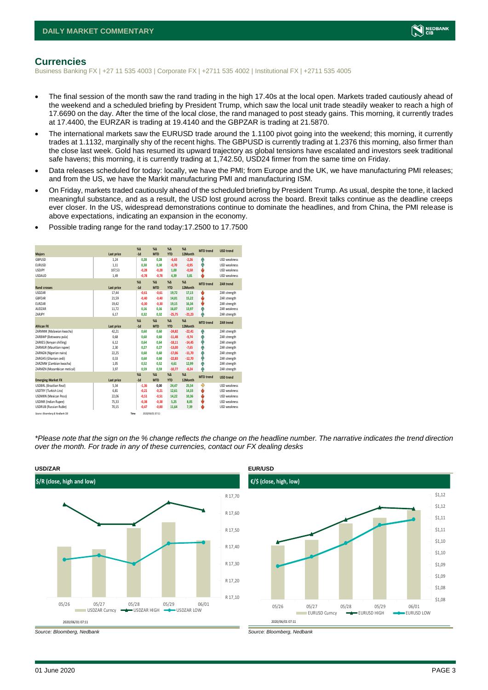

### <span id="page-2-0"></span>**Currencies**

Business Banking FX | +27 11 535 4003 | Corporate FX | +2711 535 4002 | Institutional FX | +2711 535 4005

- The final session of the month saw the rand trading in the high 17.40s at the local open. Markets traded cautiously ahead of the weekend and a scheduled briefing by President Trump, which saw the local unit trade steadily weaker to reach a high of 17.6690 on the day. After the time of the local close, the rand managed to post steady gains. This morning, it currently trades at 17.4400, the EURZAR is trading at 19.4140 and the GBPZAR is trading at 21.5870.
- The international markets saw the EURUSD trade around the 1.1100 pivot going into the weekend; this morning, it currently trades at 1.1132, marginally shy of the recent highs. The GBPUSD is currently trading at 1.2376 this morning, also firmer than the close last week. Gold has resumed its upward trajectory as global tensions have escalated and investors seek traditional safe havens; this morning, it is currently trading at 1,742.50, USD24 firmer from the same time on Friday.
- Data releases scheduled for today: locally, we have the PMI; from Europe and the UK, we have manufacturing PMI releases; and from the US, we have the Markit manufacturing PMI and manufacturing ISM.
- On Friday, markets traded cautiously ahead of the scheduled briefing by President Trump. As usual, despite the tone, it lacked meaningful substance, and as a result, the USD lost ground across the board. Brexit talks continue as the deadline creeps ever closer. In the US, widespread demonstrations continue to dominate the headlines, and from China, the PMI release is above expectations, indicating an expansion in the economy.

|                                 |            | X <sub>A</sub> | X <sub>A</sub>   | $% \Delta$    | $% \Delta$  | <b>MTD</b> trend | <b>USD trend</b>    |
|---------------------------------|------------|----------------|------------------|---------------|-------------|------------------|---------------------|
| <b>Maiors</b>                   | Last price | $-1d$          | <b>MTD</b>       | <b>YTD</b>    | 12Month     |                  |                     |
| GBPUSD                          | 1,24       | 0,28           | 0,28             | $-6,63$       | $-2,26$     | Ą                | <b>USD</b> weakness |
| <b>EURUSD</b>                   | 1.11       | 0.30           | 0.30             | $-0.70$       | $-0,95$     | Ŵ                | <b>USD weakness</b> |
| <b>USDJPY</b>                   | 107,53     | $-0,28$        | $-0.28$          | 1,00          | $-0,50$     | ψ                | <b>USD</b> weakness |
| <b>USDAUD</b>                   | 1,49       | $-0,78$        | $-0,78$          | 4,39          | 3.81        | ψ                | <b>USD</b> weakness |
|                                 |            | $X\Delta$      | X <sub>A</sub>   | $% \Delta$    | $% \Lambda$ | <b>MTD</b> trend | <b>ZAR trend</b>    |
| <b>Rand crosses</b>             | Last price | $-1d$          | <b>MTD</b>       | <b>YTD</b>    | 12Month     |                  |                     |
| <b>USDZAR</b>                   | 17,44      | $-0.61$        | $-0.61$          | 19,72         | 17.13       | ψ                | ZAR strength        |
| GBPZAR                          | 21,59      | $-0,40$        | $-0,40$          | 14,01         | 15,22       | ψ                | ZAR strength        |
| EURZAR                          | 19,42      | $-0.30$        | $-0,30$          | 19,15         | 16,34       | ψ                | ZAR strength        |
| AUDZAR                          | 11,72      | 0.16           | 0.16             | 16.07         | 13.97       | Ŵ                | ZAR weakness        |
| ZARJPY                          | 6,17       | 0.32           | 0,32             | $-25,75$      | $-21,23$    | 4                | ZAR strength        |
|                                 |            | $X\Delta$      | X <sub>A</sub>   | $% \Delta$    | $% \Delta$  | <b>MTD</b> trend | ZAR trend           |
| <b>African FX</b>               | Last price | $-1d$          | <b>MTD</b>       | <b>YTD</b>    | 12Month     |                  |                     |
| ZARMWK (Malawian kwacha)        | 42,21      | 0,60           | 0.60             | $-24,82$      | $-22,41$    | Φ                | ZAR strength        |
| ZARBWP (Botswana pula)          | 0,68       | 0.60           | 0.60             | $-11,48$      | $-9,74$     | Ŵ                | ZAR strength        |
| ZARKES (Kenyan shilling)        | 6.12       | 0.64           | 0.64             | $-18,11$      | $-14,45$    | φ                | ZAR strength        |
| ZARMUR (Mauritian rupee)        | 2,30       | 0.27           | 0.27             | $-13,00$      | $-7,65$     | Ŵ                | ZAR strength        |
| ZARNGN (Nigerian naira)         | 22,25      | 0.60           | 0.60             | $-17,06$      | $-11,70$    | Ą                | ZAR strength        |
| ZARGHS (Ghanian cedi)           | 0,33       | 0.60           | 0.60             | $-22,83$      | $-12,70$    | Φ                | ZAR strength        |
| ZARZMW (Zambian kwacha)         | 1.05       | 0.52           | 0.52             | 4.61          | 12.99       | Ą                | ZAR strength        |
| ZARMZN (Mozambican metical)     | 3,97       | 0,59           | 0,59             | $-10,77$      | $-8,24$     | 4                | ZAR strength        |
|                                 |            | X <sub>A</sub> | X <sub>A</sub>   | $%$ $\Lambda$ | %           | <b>MTD</b> trend | <b>USD trend</b>    |
| <b>Emerging Market FX</b>       | Last price | $-1d$          | <b>MTD</b>       | <b>YTD</b>    | 12Month     |                  |                     |
| <b>USDBRL</b> (Brazilian Real)  | 5,34       | $-1,36$        | 0.00             | 24,47         | 25,54       | ٠                | USD weakness        |
| USDTRY (Turkish Lira)           | 6,81       | $-0.21$        | $-0.21$          | 12,61         | 14.33       | ψ                | <b>USD weakness</b> |
| <b>USDMXN</b> (Mexican Peso)    | 22,06      | $-0,51$        | $-0,51$          | 14,22         | 10,36       | ψ                | USD weakness        |
| <b>USDINR</b> (Indian Rupee)    | 75,33      | $-0,38$        | $-0,38$          | 5,25          | 8,05        | ψ                | <b>USD</b> weakness |
| <b>USDRUB</b> (Russian Ruble)   | 70,15      | $-0,47$        | $-0,00$          | 11,64         | 7,39        | ψ                | <b>USD</b> weakness |
| Source: Bloomberg & Nedbank CIB |            | Time           | 2020/06/01 07:11 |               |             |                  |                     |

• Possible trading range for the rand today:17.2500 to 17.7500

*\*Please note that the sign on the % change reflects the change on the headline number. The narrative indicates the trend direction over the month. For trade in any of these currencies, contact our FX dealing desks*



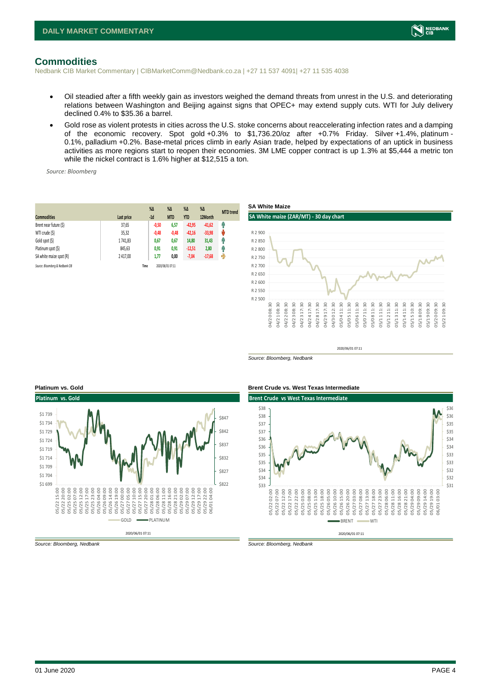

### <span id="page-3-0"></span>**Commodities**

Nedbank CIB Market Commentary | CIBMarketComm@Nedbank.co.za | +27 11 537 4091| +27 11 535 4038

- Oil steadied after a fifth weekly gain as investors weighed the demand threats from unrest in the U.S. and deteriorating relations between Washington and Beijing against signs that OPEC+ may extend supply cuts. WTI for July delivery declined 0.4% to \$35.36 a barrel.
- Gold rose as violent protests in cities across the U.S. stoke concerns about reaccelerating infection rates and a damping of the economic recovery. Spot gold +0.3% to \$1,736.20/oz after +0.7% Friday. Silver +1.4%, platinum - 0.1%, palladium +0.2%. Base-metal prices climb in early Asian trade, helped by expectations of an uptick in business activities as more regions start to reopen their economies. 3M LME copper contract is up 1.3% at \$5,444 a metric ton while the nickel contract is 1.6% higher at \$12,515 a ton.

*Source: Bloomberg*

| <b>Commodities</b>              | Last price | $%$ $\Delta$<br>$-1d$ | $\%$ $\Delta$<br><b>MTD</b> | $\%$ $\Delta$<br><b>YTD</b> | $\%$ $\Delta$<br>12Month | <b>MTD</b> trend |
|---------------------------------|------------|-----------------------|-----------------------------|-----------------------------|--------------------------|------------------|
| Brent near future (\$)          | 37,65      | $-0,50$               | 6,57                        | $-42,95$                    | $-41,62$                 | f                |
| WTI crude (\$)                  | 35,32      | $-0,48$               | $-0,48$                     | $-42,16$                    | $-33,98$                 | ψ                |
| Gold spot (\$)                  | 1741,83    | 0,67                  | 0,67                        | 14,80                       | 31,43                    | Ĥ                |
| Platinum spot (\$)              | 845,63     | 0,91                  | 0,91                        | $-12,51$                    | 2,80                     | Ŷ                |
| SA white maize spot (R)         | 2 417,00   | 1,77                  | 0,00                        | $-7,04$                     | $-17,68$                 | ჟ                |
| Source: Bloomberg & Nedbank CIB |            | Time                  | 2020/06/01 07:11            |                             |                          |                  |



*Source: Bloomberg, Nedbank*



*Source: Bloomberg, Nedbank Source: Bloomberg, Nedbank*

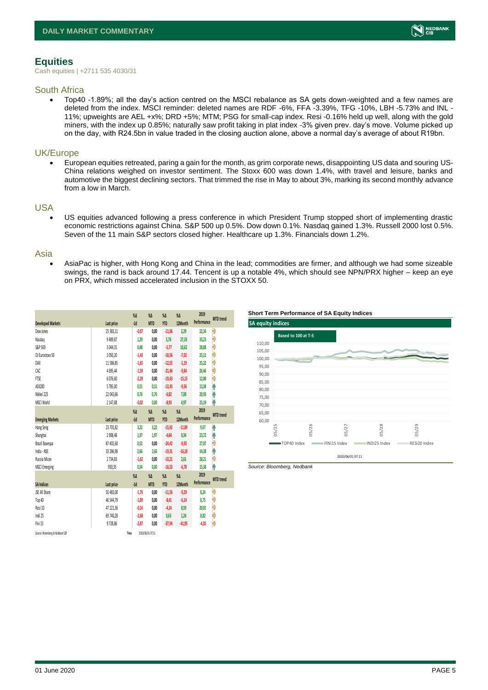# <span id="page-4-0"></span>**Equities**

Cash equities | +2711 535 4030/31

#### South Africa

• Top40 -1.89%; all the day's action centred on the MSCI rebalance as SA gets down-weighted and a few names are deleted from the index. MSCI reminder: deleted names are RDF -6%, FFA -3.39%, TFG -10%, LBH -5.73% and INL - 11%; upweights are AEL +x%; DRD +5%; MTM; PSG for small-cap index. Resi -0.16% held up well, along with the gold miners, with the index up 0.85%; naturally saw profit taking in plat index -3% given prev. day's move. Volume picked up on the day, with R24.5bn in value traded in the closing auction alone, above a normal day's average of about R19bn.

#### UK/Europe

• European equities retreated, paring a gain for the month, as grim corporate news, disappointing US data and souring US-China relations weighed on investor sentiment. The Stoxx 600 was down 1.4%, with travel and leisure, banks and automotive the biggest declining sectors. That trimmed the rise in May to about 3%, marking its second monthly advance from a low in March.

#### USA

• US equities advanced following a press conference in which President Trump stopped short of implementing drastic economic restrictions against China. S&P 500 up 0.5%. Dow down 0.1%. Nasdaq gained 1.3%. Russell 2000 lost 0.5%. Seven of the 11 main S&P sectors closed higher. Healthcare up 1.3%. Financials down 1.2%.

#### Asia

• AsiaPac is higher, with Hong Kong and China in the lead; commodities are firmer, and although we had some sizeable swings, the rand is back around 17.44. Tencent is up a notable 4%, which should see NPN/PRX higher – keep an eye on PRX, which missed accelerated inclusion in the STOXX 50.

|                                 |            | $\%$ $\Delta$ | $\%$ $\Delta$    | $\%$ $\Delta$ | $\%$     | 2019        | <b>MTD</b> trend |
|---------------------------------|------------|---------------|------------------|---------------|----------|-------------|------------------|
| <b>Developed Markets</b>        | Last price | $-1d$         | <b>MTD</b>       | <b>YTD</b>    | 12Month  | Performance |                  |
| Dow Jones                       | 25 383,11  | $-0.07$       | 0,00             | $-11,06$      | 2,29     | 22,34       | Ð                |
| Nasdaq                          | 9489,87    | 1,29          | 0,00             | 5,76          | 27,33    | 35,23       | l-D              |
| S&P 500                         | 3 044,31   | 0.48          | 0.00             | $-5, 77$      | 10,62    | 28,88       | Đ                |
| DJ Eurostoxx 50                 | 3 050,20   | $-1,43$       | 0,00             | $-18,56$      | $-7,02$  | 25,12       | Ą                |
| DAX                             | 11586,85   | $-1,65$       | 0,00             | $-12,55$      | $-1,19$  | 25,22       | Đ                |
| CAC.                            | 4695,44    | $-1,59$       | 0,00             | $-21,46$      | $-9,84$  | 26,46       | Đ                |
| FTSE                            | 6 0 7 6.60 | $-2,29$       | 0.00             | $-19,43$      | $-15,15$ | 12,00       | Đ                |
| ASX200                          | 5785,00    | 0,51          | 0,51             | $-13,45$      | $-9,56$  | 13,38       | Ą                |
| Nikkei 225                      | 22 043.66  | 0.76          | 0.76             | $-6,82$       | 7.00     | 20,93       | Ą                |
| MSCI World                      | 2 147,88   | $-0.02$       | 0,00             | $-8,93$       | 4,97     | 25,19       | Ą                |
|                                 |            | $\%$ $\Delta$ | $\%$ $\Delta$    | $\%$ $\Delta$ | $\%$     | 2019        |                  |
| <b>Emerging Markets</b>         | Last price | $-1d$         | <b>MTD</b>       | <b>YTD</b>    | 12Month  | Performance | <b>MTD</b> trend |
| Hang Seng                       | 23 701,82  | 3,22          | 3,22             | $-15,92$      | $-11,89$ | 9,07        | Ą                |
| Shanghai                        | 2 908.48   | 1.97          | 1.97             | $-4,64$       | 0.34     | 23,72       | φ                |
| Brazil Bovespa                  | 87 402.60  | 0.52          | 0.00             | $-24,42$      | $-9,92$  | 27,07       | Ą                |
| India - NSE                     | 33 286,98  | 2,66          | 2.66             | $-19,31$      | $-16,18$ | 14,38       | A                |
| Russia Micex                    | 2734,83    | $-1.62$       | 0.00             | $-10,21$      | 2.61     | 28,21       | Ą                |
| <b>MSCI Emerging</b>            | 930,35     | 0,54          | 0,00             | $-16,53$      | $-6,78$  | 15,38       | Ą                |
|                                 |            | $\%$ $\Delta$ | $\%$ $\Delta$    | $\%$ $\Delta$ | $\%$     | 2019        |                  |
| <b>SA Indices</b>               | Last price | $-1d$         | <b>MTD</b>       | <b>YTD</b>    | 12Month  | Performance | <b>MTD</b> trend |
| <b>JSE All Share</b>            | 50 483,00  | $-1,76$       | 0.00             | $-11,56$      | $-9,29$  | 8,24        | l-)              |
| Top 40                          | 46 544,79  | $-1,89$       | 0.00             | $-8,41$       | $-6,14$  | 8,75        | Đ                |
| Resi 10                         | 47 221.36  | $-0.16$       | 0.00             | $-4,14$       | 8,59     | 20.01       | Ą                |
| Indi 25                         | 69 740,28  | $-2,68$       | 0.00             | 0,63          | 1,24     | 8,82        | Đ                |
| Fini 15                         | 9728.86    | $-2,87$       | 0,00             | $-37,94$      | $-41,95$ | $-4,30$     | Ð                |
| Source: Bloomberg & Nedbank CIB |            | Time          | 2020/06/01 07:11 |               |          |             |                  |





*Source: Bloomberg, Nedbank*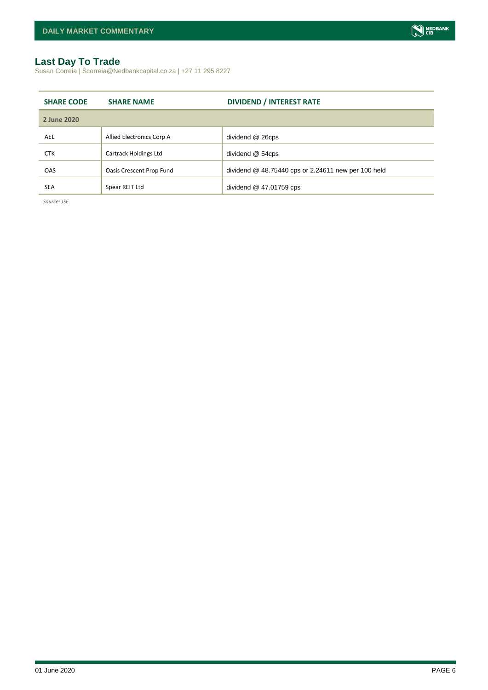# <span id="page-5-0"></span>**Last Day To Trade**

Susan Correia | Scorreia@Nedbankcapital.co.za | +27 11 295 8227

| <b>SHARE CODE</b> | <b>SHARE NAME</b>            | <b>DIVIDEND / INTEREST RATE</b>                       |
|-------------------|------------------------------|-------------------------------------------------------|
| 2 June 2020       |                              |                                                       |
| AEL               | Allied Electronics Corp A    | dividend @ 26cps                                      |
| <b>CTK</b>        | <b>Cartrack Holdings Ltd</b> | dividend @ 54cps                                      |
| <b>OAS</b>        | Oasis Crescent Prop Fund     | dividend $@$ 48.75440 cps or 2.24611 new per 100 held |
| <b>SEA</b>        | Spear REIT Ltd               | dividend $@$ 47.01759 cps                             |

*Source: JSE*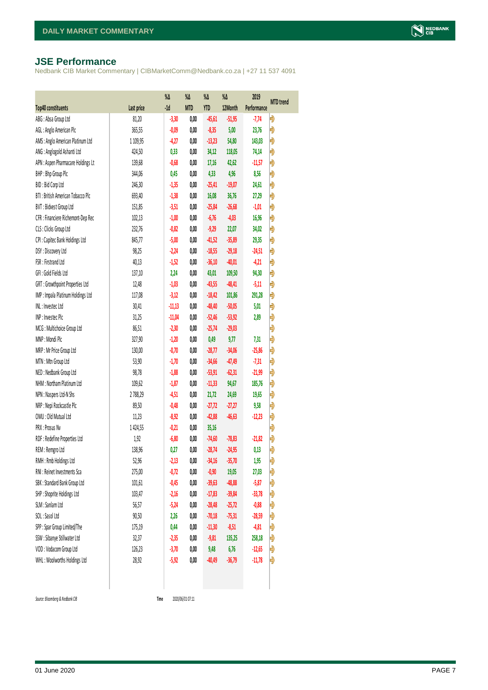### <span id="page-6-0"></span>**JSE Performance**

Nedbank CIB Market Commentary | CIBMarketComm@Nedbank.co.za | +27 11 537 4091

|                                    |             | $\% \Delta$ | %Δ         | %Δ         | $\%$ $\Delta$ | 2019        |                  |
|------------------------------------|-------------|-------------|------------|------------|---------------|-------------|------------------|
| <b>Top40 constituents</b>          | Last price  | $-1d$       | <b>MTD</b> | <b>YTD</b> | 12Month       | Performance | <b>MTD</b> trend |
| ABG: Absa Group Ltd                | 81,20       | $-3,30$     | 0,00       | $-45,61$   | $-51,95$      | $-7,74$     | Đ                |
| AGL : Anglo American Plc           | 365,55      | $-0,09$     | 0,00       | $-8,35$    | 5,00          | 23,76       | Đ                |
| AMS: Anglo American Platinum Ltd   | 1 1 0 9, 95 | $-4,27$     | 0,00       | $-13,23$   | 54,80         | 143,03      | Đ                |
| ANG: Anglogold Ashanti Ltd         | 424,50      | 0,33        | 0,00       | 34,12      | 118,05        | 74,14       | Đ                |
| APN : Aspen Pharmacare Holdings Lt | 139,68      | $-0,68$     | 0,00       | 17,16      | 42,62         | $-11,57$    | Đ                |
| BHP: Bhp Group Plc                 | 344,06      | 0,45        | 0,00       | 4,33       | 4,96          | 8,56        | Đ                |
| BID: Bid Corp Ltd                  | 246,30      | $-1,35$     | 0,00       | $-25,41$   | $-19,07$      | 24,61       | Đ                |
| BTI: British American Tobacco Plc  | 693,40      | $-1,38$     | 0,00       | 16,08      | 36,76         | 27,29       | Đ                |
| BVT: Bidvest Group Ltd             | 151,85      | $-3,51$     | 0,00       | $-25,84$   | $-26,68$      | $-1,01$     | Đ                |
| CFR : Financiere Richemont-Dep Rec | 102,13      | $-1,00$     | 0,00       | $-6,76$    | $-4,03$       | 16,96       | Đ                |
| CLS : Clicks Group Ltd             | 232,76      | $-0,82$     | 0,00       | $-9,29$    | 22,07         | 34,02       | Đ                |
| CPI : Capitec Bank Holdings Ltd    | 845,77      | $-5,00$     | 0,00       | $-41,52$   | $-35,89$      | 29,35       | Đ                |
| DSY: Discovery Ltd                 | 98,25       | $-2,24$     | 0,00       | $-18,55$   | $-29,18$      | $-24,51$    | Đ                |
| FSR: Firstrand Ltd                 | 40,13       | $-1,52$     | 0,00       | $-36,10$   | $-40,01$      | $-4,21$     | Đ                |
| GFI: Gold Fields Ltd               | 137,10      | 2,24        | 0,00       | 43,01      | 109,50        | 94,30       | Đ                |
| GRT : Growthpoint Properties Ltd   | 12,48       | $-1,03$     | 0,00       | $-43,55$   | $-48,41$      | $-5,11$     | Ð                |
| IMP : Impala Platinum Holdings Ltd | 117,08      | $-3,12$     | 0,00       | $-18,42$   | 101,86        | 291,28      | Ð                |
| INL: Investec Ltd                  | 30,41       | $-11,13$    | 0,00       | $-48,40$   | $-50,05$      | 5,01        | Đ                |
| INP: Invested Pld                  | 31,25       | $-11,04$    | 0,00       | $-52,46$   | $-53,92$      | 2,89        | Ð                |
| MCG: Multichoice Group Ltd         | 86,51       | $-2,30$     | 0,00       | $-25,74$   | $-29,03$      |             | Đ                |
| MNP: Mondi Plc                     | 327,90      | $-1,20$     | 0,00       | 0,49       | 9,77          | 7,31        | Đ                |
| MRP : Mr Price Group Ltd           | 130,00      | $-0,70$     | 0,00       | $-28,77$   | $-34,06$      | $-25,86$    | Đ                |
| MTN: Mtn Group Ltd                 | 53,90       | $-1,70$     | 0,00       | $-34,66$   | $-47,49$      | $-7,31$     | Đ                |
| NED : Nedbank Group Ltd            | 98,78       | $-1,88$     | 0,00       | $-53,91$   | $-62,31$      | $-21,99$    | Đ                |
| NHM: Northam Platinum Ltd          | 109,62      | $-1,87$     | 0,00       | $-11,33$   | 94,67         | 185,76      | Đ                |
| NPN : Naspers Ltd-N Shs            | 2788,29     | $-4,51$     | 0,00       | 21,72      | 24,69         | 19,65       | Đ                |
| NRP : Nepi Rockcastle Plc          | 89,50       | $-0,48$     | 0,00       | $-27,72$   | $-27,27$      | 9,58        | Đ                |
| OMU: Old Mutual Ltd                | 11,23       | $-8,92$     | 0,00       | $-42,88$   | $-46,63$      | $-12,23$    | Đ                |
| PRX : Prosus Nv                    | 1424,55     | $-0,21$     | 0,00       | 35,16      |               |             | Đ                |
| RDF : Redefine Properties Ltd      | 1,92        | $-6,80$     | 0,00       | $-74,60$   | $-78,83$      | $-21,82$    | Đ                |
| REM : Remgro Ltd                   | 138,96      | 0,27        | 0,00       | $-28,74$   | $-24,95$      | 0,13        | Đ                |
| RMH : Rmb Holdings Ltd             | 52,96       | $-2,13$     | 0,00       | $-34,16$   | $-35,70$      | 1,95        | Đ                |
| RNI : Reinet Investments Sca       | 275,00      | $-0,72$     | 0,00       | $-0,90$    | 19,05         | 27,03       | $\ket{}$         |
| SBK: Standard Bank Group Ltd       | 101,61      | $-0,45$     | 0,00       | $-39,63$   | $-48,88$      | $-5,87$     | Ð                |
| SHP: Shoprite Holdings Ltd         | 103,47      | $-2,16$     | 0,00       | $-17,83$   | $-39,84$      | $-33,78$    | Ð                |
| SLM : Sanlam Ltd                   | 56,57       | $-5,24$     | 0,00       | $-28,48$   | $-25,72$      | $-0,88$     | Ð                |
| SOL: Sasol Ltd                     | 90,50       | 2,26        | 0,00       | $-70,18$   | $-75,31$      | $-28,59$    | Đ                |
| SPP: Spar Group Limited/The        | 175,19      | 0,44        | 0,00       | $-11,30$   | $-8,51$       | $-4,81$     | Đ                |
| SSW : Sibanye Stillwater Ltd       | 32,37       | $-2,35$     | 0,00       | $-9,81$    | 135,25        | 258,18      | Đ                |
| VOD: Vodacom Group Ltd             | 126,23      | $-3,70$     | 0,00       | 9,48       | 6,76          | $-12,65$    | Ð                |
| WHL: Woolworths Holdings Ltd       | 28,92       | $-5,92$     | 0,00       | $-40,49$   | $-36,79$      | $-11,78$    | Đ                |
|                                    |             |             |            |            |               |             |                  |

 $Source: Bloomberg & Nedbank GB$ 

Time 2020/06/01 07:11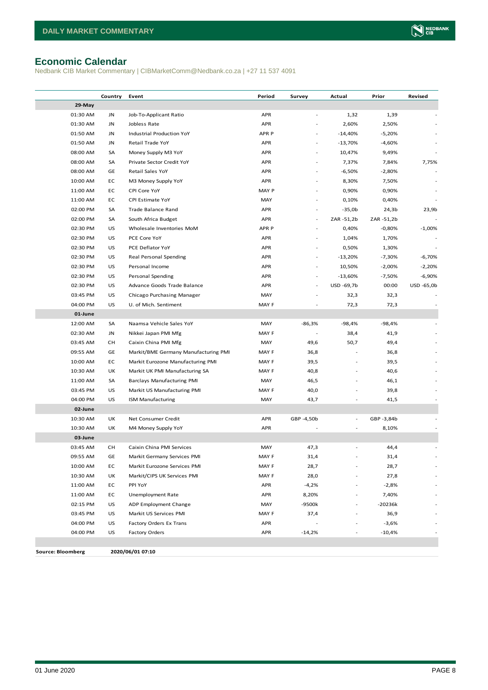### <span id="page-7-0"></span>**Economic Calendar**

Nedbank CIB Market Commentary | CIBMarketComm@Nedbank.co.za | +27 11 537 4091

|                          | Country | Event                                | Period           | Survey                   | Actual                   | Prior      | Revised    |
|--------------------------|---------|--------------------------------------|------------------|--------------------------|--------------------------|------------|------------|
| 29-May                   |         |                                      |                  |                          |                          |            |            |
| 01:30 AM                 | JN      | Job-To-Applicant Ratio               | APR              |                          | 1,32                     | 1,39       |            |
| 01:30 AM                 | JN      | Jobless Rate                         | APR              |                          | 2,60%                    | 2,50%      |            |
| 01:50 AM                 | JN      | Industrial Production YoY            | APR <sub>P</sub> |                          | $-14,40%$                | $-5,20%$   |            |
| 01:50 AM                 | JN      | Retail Trade YoY                     | APR              |                          | $-13,70%$                | $-4,60%$   |            |
| 08:00 AM                 | SA      | Money Supply M3 YoY                  | APR              |                          | 10,47%                   | 9,49%      |            |
| 08:00 AM                 | SA      | Private Sector Credit YoY            | APR              |                          | 7,37%                    | 7,84%      | 7,75%      |
| 08:00 AM                 | GE      | Retail Sales YoY                     | APR              |                          | $-6,50%$                 | $-2,80%$   |            |
| 10:00 AM                 | EC      | M3 Money Supply YoY                  | APR              |                          | 8,30%                    | 7,50%      |            |
| 11:00 AM                 | EC      | CPI Core YoY                         | MAY P            |                          | 0,90%                    | 0,90%      |            |
| 11:00 AM                 | EC      | CPI Estimate YoY                     | MAY              | $\sim$                   | 0,10%                    | 0,40%      |            |
| 02:00 PM                 | SA      | Trade Balance Rand                   | APR              |                          | $-35,0b$                 | 24,3b      | 23,9b      |
| 02:00 PM                 | SA      | South Africa Budget                  | APR              | $\overline{\phantom{a}}$ | ZAR -51,2b               | ZAR -51,2b |            |
| 02:30 PM                 | US      | Wholesale Inventories MoM            | APR <sub>P</sub> | $\overline{\phantom{a}}$ | 0,40%                    | $-0,80%$   | $-1,00%$   |
| 02:30 PM                 | US      | PCE Core YoY                         | APR              | $\overline{\phantom{a}}$ | 1,04%                    | 1,70%      |            |
| 02:30 PM                 | US      | PCE Deflator YoY                     | APR              |                          | 0,50%                    | 1,30%      |            |
| 02:30 PM                 | US      | Real Personal Spending               | APR              | $\sim$                   | $-13,20%$                | $-7,30%$   | $-6,70%$   |
| 02:30 PM                 | US      | Personal Income                      | APR              |                          | 10,50%                   | $-2,00%$   | $-2,20%$   |
| 02:30 PM                 | US      | Personal Spending                    | APR              | $\overline{\phantom{a}}$ | $-13,60%$                | $-7,50%$   | $-6,90%$   |
| 02:30 PM                 | US      | Advance Goods Trade Balance          | APR              | $\sim$                   | USD -69,7b               | 00:00      | USD -65,0b |
| 03:45 PM                 | US      | Chicago Purchasing Manager           | MAY              |                          | 32,3                     | 32,3       |            |
| 04:00 PM                 | US      | U. of Mich. Sentiment                | MAY F            |                          | 72,3                     | 72,3       |            |
| 01-June                  |         |                                      |                  |                          |                          |            |            |
| 12:00 AM                 | SA      | Naamsa Vehicle Sales YoY             | MAY              | $-86,3%$                 | -98,4%                   | $-98,4%$   |            |
| 02:30 AM                 | JN      | Nikkei Japan PMI Mfg                 | MAY F            |                          | 38,4                     | 41,9       |            |
| 03:45 AM                 | CН      | Caixin China PMI Mfg                 | MAY              | 49,6                     | 50,7                     | 49,4       |            |
| 09:55 AM                 | GE      | Markit/BME Germany Manufacturing PMI | MAY F            | 36,8                     |                          | 36,8       |            |
| 10:00 AM                 | EC      | Markit Eurozone Manufacturing PMI    | MAY F            | 39,5                     |                          | 39,5       |            |
| 10:30 AM                 | UK      | Markit UK PMI Manufacturing SA       | MAY F            | 40,8                     |                          | 40,6       |            |
| 11:00 AM                 | SA      | <b>Barclays Manufacturing PMI</b>    | MAY              | 46,5                     |                          | 46,1       |            |
| 03:45 PM                 | US      | Markit US Manufacturing PMI          | MAY F            | 40,0                     |                          | 39,8       |            |
| 04:00 PM                 | US      | <b>ISM Manufacturing</b>             | MAY              | 43,7                     |                          | 41,5       |            |
| 02-June                  |         |                                      |                  |                          |                          |            |            |
| 10:30 AM                 | UK      | Net Consumer Credit                  | APR              | GBP -4,50b               | $\overline{\phantom{a}}$ | GBP-3,84b  |            |
| 10:30 AM                 | UK      | M4 Money Supply YoY                  | APR              |                          |                          | 8,10%      |            |
| 03-June                  |         |                                      |                  |                          |                          |            |            |
| 03:45 AM                 | CН      | Caixin China PMI Services            | MAY              | 47,3                     |                          | 44,4       |            |
| 09:55 AM                 | GE      | Markit Germany Services PMI          | MAY F            | 31,4                     |                          | 31,4       |            |
| 10:00 AM                 | EC      | Markit Eurozone Services PMI         | MAY F            | 28,7                     |                          | 28,7       |            |
| 10:30 AM                 | UK      | Markit/CIPS UK Services PMI          | MAY F            | 28,0                     |                          | 27,8       |            |
| 11:00 AM                 | EC      | PPI YoY                              | APR              | $-4,2%$                  |                          | $-2,8%$    |            |
| 11:00 AM                 | EC      | Unemployment Rate                    | APR              | 8,20%                    |                          | 7,40%      |            |
| 02:15 PM                 | US      | ADP Employment Change                | MAY              | -9500k                   | ÷,                       | $-20236k$  |            |
| 03:45 PM                 | US      | Markit US Services PMI               | MAY F            | 37,4                     |                          | 36,9       |            |
| 04:00 PM                 | US      | Factory Orders Ex Trans              | APR              |                          |                          | $-3,6%$    |            |
| 04:00 PM                 | US      | <b>Factory Orders</b>                | APR              | $-14,2%$                 |                          | $-10,4%$   |            |
|                          |         |                                      |                  |                          |                          |            |            |
| <b>Source: Bloomberg</b> |         | 2020/06/01 07:10                     |                  |                          |                          |            |            |